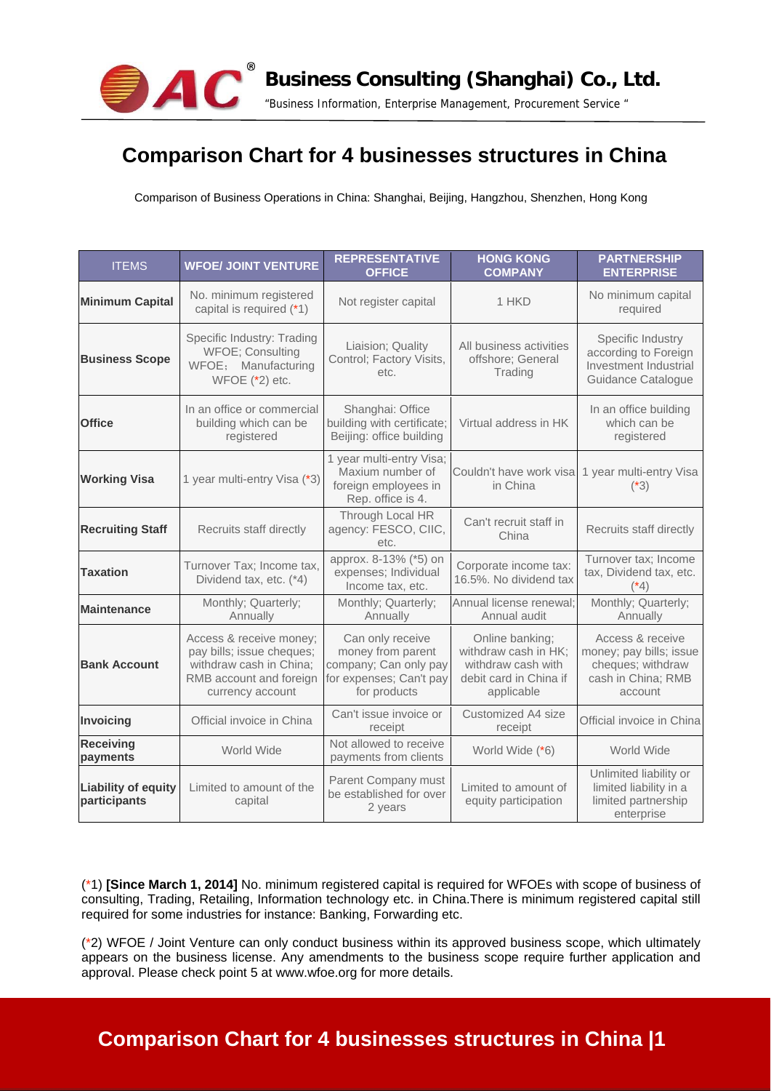

## **Comparison Chart for 4 businesses structures in China**

Comparison of Business Operations in China: Shanghai, Beijing, Hangzhou, Shenzhen, Hong Kong

| <b>ITEMS</b>                               | <b>WFOE/ JOINT VENTURE</b>                                                                                                     | <b>REPRESENTATIVE</b><br><b>OFFICE</b>                                                                    | <b>HONG KONG</b><br><b>COMPANY</b>                                                                    | <b>PARTNERSHIP</b><br><b>ENTERPRISE</b>                                                           |
|--------------------------------------------|--------------------------------------------------------------------------------------------------------------------------------|-----------------------------------------------------------------------------------------------------------|-------------------------------------------------------------------------------------------------------|---------------------------------------------------------------------------------------------------|
| <b>Minimum Capital</b>                     | No. minimum registered<br>capital is required (*1)                                                                             | Not register capital                                                                                      | 1 HKD                                                                                                 | No minimum capital<br>required                                                                    |
| <b>Business Scope</b>                      | Specific Industry: Trading<br>WFOE; Consulting<br>WFOE; Manufacturing<br>WFOE $(*2)$ etc.                                      | Liaision; Quality<br>Control; Factory Visits,<br>etc.                                                     | All business activities<br>offshore; General<br>Trading                                               | Specific Industry<br>according to Foreign<br>Investment Industrial<br>Guidance Catalogue          |
| <b>Office</b>                              | In an office or commercial<br>building which can be<br>registered                                                              | Shanghai: Office<br>building with certificate;<br>Beijing: office building                                | Virtual address in HK                                                                                 | In an office building<br>which can be<br>registered                                               |
| <b>Working Visa</b>                        | 1 year multi-entry Visa (*3)                                                                                                   | 1 year multi-entry Visa;<br>Maxium number of<br>foreign employees in<br>Rep. office is 4.                 | Couldn't have work visa<br>in China                                                                   | 1 year multi-entry Visa<br>$(*3)$                                                                 |
| <b>Recruiting Staff</b>                    | Recruits staff directly                                                                                                        | Through Local HR<br>agency: FESCO, CIIC,<br>etc.                                                          | Can't recruit staff in<br>China                                                                       | Recruits staff directly                                                                           |
| <b>Taxation</b>                            | Turnover Tax; Income tax,<br>Dividend tax, etc. (*4)                                                                           | approx. 8-13% (*5) on<br>expenses; Individual<br>Income tax, etc.                                         | Corporate income tax:<br>16.5%. No dividend tax                                                       | Turnover tax; Income<br>tax, Dividend tax, etc.<br>(*4)                                           |
| <b>Maintenance</b>                         | Monthly; Quarterly;<br>Annually                                                                                                | Monthly; Quarterly;<br>Annually                                                                           | Annual license renewal:<br>Annual audit                                                               | Monthly; Quarterly;<br>Annually                                                                   |
| <b>Bank Account</b>                        | Access & receive money;<br>pay bills; issue cheques;<br>withdraw cash in China;<br>RMB account and foreign<br>currency account | Can only receive<br>money from parent<br>company; Can only pay<br>for expenses; Can't pay<br>for products | Online banking;<br>withdraw cash in HK;<br>withdraw cash with<br>debit card in China if<br>applicable | Access & receive<br>money; pay bills; issue<br>cheques; withdraw<br>cash in China; RMB<br>account |
| Invoicing                                  | Official invoice in China                                                                                                      | Can't issue invoice or<br>receipt                                                                         | Customized A4 size<br>receipt                                                                         | Official invoice in China                                                                         |
| <b>Receiving</b><br>payments               | World Wide                                                                                                                     | Not allowed to receive<br>payments from clients                                                           | World Wide (*6)                                                                                       | World Wide                                                                                        |
| <b>Liability of equity</b><br>participants | Limited to amount of the<br>capital                                                                                            | Parent Company must<br>be established for over<br>2 years                                                 | Limited to amount of<br>equity participation                                                          | Unlimited liability or<br>limited liability in a<br>limited partnership<br>enterprise             |

(\*1) **[Since March 1, 2014]** No. minimum registered capital is required for WFOEs with scope of business of consulting, Trading, Retailing, Information technology etc. in China.There is minimum registered capital still required for some industries for instance: Banking, Forwarding etc.

(\*2) WFOE / Joint Venture can only conduct business within its approved business scope, which ultimately appears on the business license. Any amendments to the business scope require further application and approval. Please check point 5 at www.wfoe.org for more details.

## **Comparison Chart for 4 businesses structures in China |1**